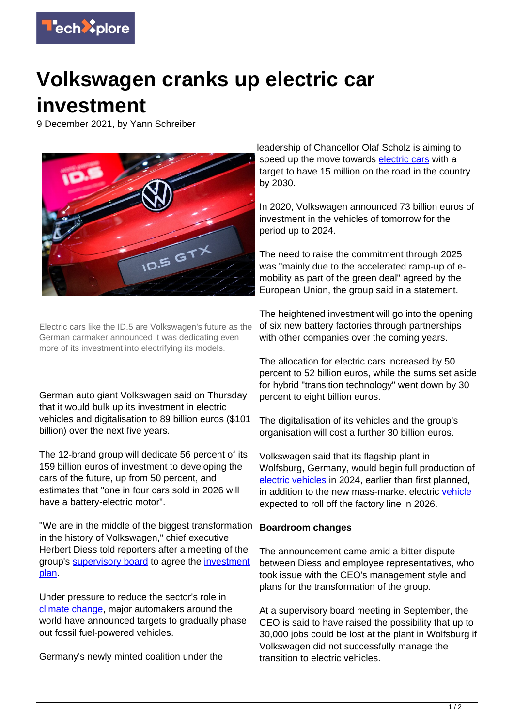

## **Volkswagen cranks up electric car investment**

9 December 2021, by Yann Schreiber



Electric cars like the ID.5 are Volkswagen's future as the German carmaker announced it was dedicating even more of its investment into electrifying its models.

German auto giant Volkswagen said on Thursday that it would bulk up its investment in electric vehicles and digitalisation to 89 billion euros (\$101 billion) over the next five years.

The 12-brand group will dedicate 56 percent of its 159 billion euros of investment to developing the cars of the future, up from 50 percent, and estimates that "one in four cars sold in 2026 will have a battery-electric motor".

"We are in the middle of the biggest transformation in the history of Volkswagen," chief executive Herbert Diess told reporters after a meeting of the group's [supervisory board](https://techxplore.com/tags/supervisory+board/) to agree the [investment](https://techxplore.com/tags/investment+plan/) [plan](https://techxplore.com/tags/investment+plan/).

Under pressure to reduce the sector's role in [climate change](https://techxplore.com/tags/climate+change/), major automakers around the world have announced targets to gradually phase out fossil fuel-powered vehicles.

Germany's newly minted coalition under the

leadership of Chancellor Olaf Scholz is aiming to speed up the move towards [electric cars](https://techxplore.com/tags/electric+cars/) with a target to have 15 million on the road in the country by 2030.

In 2020, Volkswagen announced 73 billion euros of investment in the vehicles of tomorrow for the period up to 2024.

The need to raise the commitment through 2025 was "mainly due to the accelerated ramp-up of emobility as part of the green deal" agreed by the European Union, the group said in a statement.

The heightened investment will go into the opening of six new battery factories through partnerships with other companies over the coming years.

The allocation for electric cars increased by 50 percent to 52 billion euros, while the sums set aside for hybrid "transition technology" went down by 30 percent to eight billion euros.

The digitalisation of its vehicles and the group's organisation will cost a further 30 billion euros.

Volkswagen said that its flagship plant in Wolfsburg, Germany, would begin full production of [electric vehicles](https://techxplore.com/tags/electric+vehicles/) in 2024, earlier than first planned, in addition to the new mass-market electric [vehicle](https://techxplore.com/tags/vehicle/) expected to roll off the factory line in 2026.

## **Boardroom changes**

The announcement came amid a bitter dispute between Diess and employee representatives, who took issue with the CEO's management style and plans for the transformation of the group.

At a supervisory board meeting in September, the CEO is said to have raised the possibility that up to 30,000 jobs could be lost at the plant in Wolfsburg if Volkswagen did not successfully manage the transition to electric vehicles.